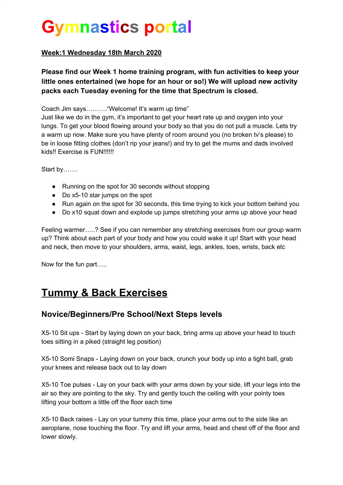# **Gymnastics portal**

#### **Week:1 Wednesday 18th March 2020**

**Please find our Week 1 home training program, with fun activities to keep your little ones entertained (we hope for an hour or so!) We will upload new activity packs each Tuesday evening for the time that Spectrum is closed.**

Coach Jim says………."Welcome! It's warm up time"

Just like we do in the gym, it's important to get your heart rate up and oxygen into your lungs. To get your blood flowing around your body so that you do not pull a muscle. Lets try a warm up now. Make sure you have plenty of room around you (no broken tv's please) to be in loose fitting clothes (don't rip your jeans!) and try to get the mums and dads involved kids!! Exercise is FUN!!!!!!

Start by…….

- Running on the spot for 30 seconds without stopping
- Do x5-10 star jumps on the spot
- Run again on the spot for 30 seconds, this time trying to kick your bottom behind you
- Do x10 squat down and explode up jumps stretching your arms up above your head

Feeling warmer…..? See if you can remember any stretching exercises from our group warm up? Think about each part of your body and how you could wake it up! Start with your head and neck, then move to your shoulders, arms, waist, legs, ankles, toes, wrists, back etc

Now for the fun part…..

## **Tummy & Back Exercises**

#### **Novice/Beginners/Pre School/Next Steps levels**

X5-10 Sit ups - Start by laying down on your back, bring arms up above your head to touch toes sitting in a piked (straight leg position)

X5-10 Somi Snaps - Laying down on your back, crunch your body up into a tight ball, grab your knees and release back out to lay down

X5-10 Toe pulses - Lay on your back with your arms down by your side, lift your legs into the air so they are pointing to the sky. Try and gently touch the ceiling with your pointy toes lifting your bottom a little off the floor each time

X5-10 Back raises - Lay on your tummy this time, place your arms out to the side like an aeroplane, nose touching the floor. Try and lift your arms, head and chest off of the floor and lower slowly.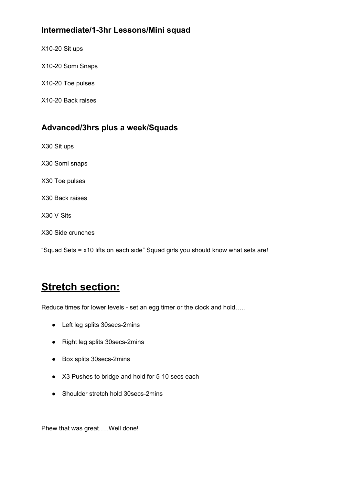#### **Intermediate/1-3hr Lessons/Mini squad**

X10-20 Sit ups

X10-20 Somi Snaps

X10-20 Toe pulses

X10-20 Back raises

#### **Advanced/3hrs plus a week/Squads**

X30 Sit ups

X30 Somi snaps

X30 Toe pulses

X30 Back raises

X30 V-Sits

X30 Side crunches

"Squad Sets = x10 lifts on each side" Squad girls you should know what sets are!

## **Stretch section:**

Reduce times for lower levels - set an egg timer or the clock and hold…..

- Left leg splits 30secs-2mins
- Right leg splits 30secs-2mins
- Box splits 30secs-2mins
- X3 Pushes to bridge and hold for 5-10 secs each
- Shoulder stretch hold 30secs-2mins

Phew that was great…..Well done!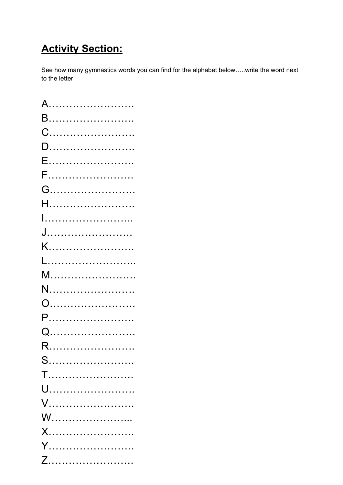# **Activity Section:**

See how many gymnastics words you can find for the alphabet below…..write the word next to the letter

| A           |
|-------------|
| B……………………   |
|             |
|             |
| E………………………  |
|             |
|             |
| H………………………  |
|             |
|             |
|             |
|             |
|             |
|             |
|             |
| P………………………… |
|             |
| R.          |
| S           |
| $T$         |
|             |
|             |
|             |
|             |
| Y           |
|             |